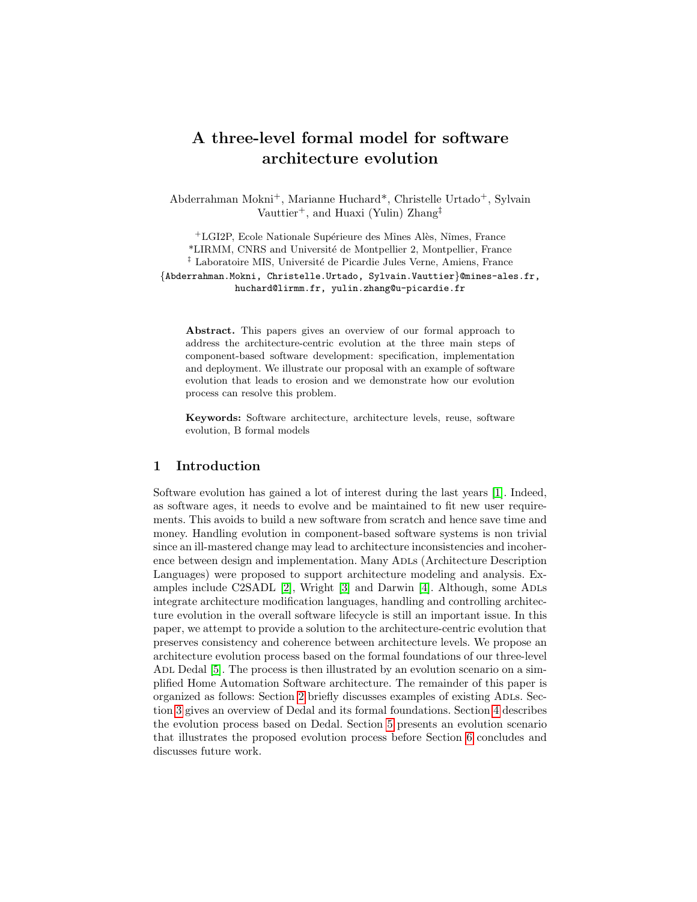# A three-level formal model for software architecture evolution

Abderrahman Mokni+, Marianne Huchard\*, Christelle Urtado+, Sylvain Vauttier<sup>+</sup>, and Huaxi (Yulin) Zhang<sup>†</sup>

<sup>+</sup>LGI2P, Ecole Nationale Supérieure des Mînes Alès, Nîmes, France \*LIRMM, CNRS and Universit´e de Montpellier 2, Montpellier, France <sup>‡</sup> Laboratoire MIS, Université de Picardie Jules Verne, Amiens, France {Abderrahman.Mokni, Christelle.Urtado, Sylvain.Vauttier}@mines-ales.fr, huchard@lirmm.fr, yulin.zhang@u-picardie.fr

Abstract. This papers gives an overview of our formal approach to address the architecture-centric evolution at the three main steps of component-based software development: specification, implementation and deployment. We illustrate our proposal with an example of software evolution that leads to erosion and we demonstrate how our evolution process can resolve this problem.

Keywords: Software architecture, architecture levels, reuse, software evolution, B formal models

## 1 Introduction

Software evolution has gained a lot of interest during the last years [\[1\]](#page-9-0). Indeed, as software ages, it needs to evolve and be maintained to fit new user requirements. This avoids to build a new software from scratch and hence save time and money. Handling evolution in component-based software systems is non trivial since an ill-mastered change may lead to architecture inconsistencies and incoherence between design and implementation. Many Adls (Architecture Description Languages) were proposed to support architecture modeling and analysis. Examples include C2SADL  $[2]$ , Wright  $[3]$  and Darwin  $[4]$ . Although, some ADLs integrate architecture modification languages, handling and controlling architecture evolution in the overall software lifecycle is still an important issue. In this paper, we attempt to provide a solution to the architecture-centric evolution that preserves consistency and coherence between architecture levels. We propose an architecture evolution process based on the formal foundations of our three-level ADL Dedal [\[5\]](#page-9-4). The process is then illustrated by an evolution scenario on a simplified Home Automation Software architecture. The remainder of this paper is organized as follows: Section [2](#page-1-0) briefly discusses examples of existing Adls. Section [3](#page-1-1) gives an overview of Dedal and its formal foundations. Section [4](#page-4-0) describes the evolution process based on Dedal. Section [5](#page-5-0) presents an evolution scenario that illustrates the proposed evolution process before Section [6](#page-8-0) concludes and discusses future work.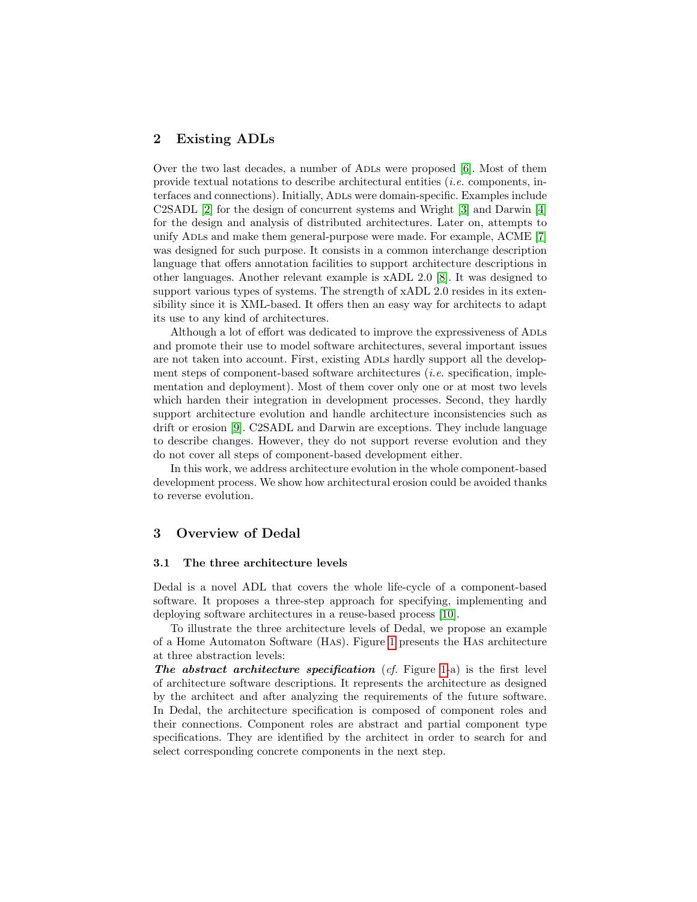## <span id="page-1-0"></span>2 Existing ADLs

Over the two last decades, a number of ADLs were proposed [\[6\]](#page-9-5). Most of them provide textual notations to describe architectural entities (i.e. components, interfaces and connections). Initially, Adls were domain-specific. Examples include C2SADL [\[2\]](#page-9-1) for the design of concurrent systems and Wright [\[3\]](#page-9-2) and Darwin [\[4\]](#page-9-3) for the design and analysis of distributed architectures. Later on, attempts to unify ADLs and make them general-purpose were made. For example, ACME [\[7\]](#page-9-6) was designed for such purpose. It consists in a common interchange description language that offers annotation facilities to support architecture descriptions in other languages. Another relevant example is xADL 2.0 [\[8\]](#page-9-7). It was designed to support various types of systems. The strength of xADL 2.0 resides in its extensibility since it is XML-based. It offers then an easy way for architects to adapt its use to any kind of architectures.

Although a lot of effort was dedicated to improve the expressiveness of ADLs and promote their use to model software architectures, several important issues are not taken into account. First, existing Adls hardly support all the development steps of component-based software architectures (i.e. specification, implementation and deployment). Most of them cover only one or at most two levels which harden their integration in development processes. Second, they hardly support architecture evolution and handle architecture inconsistencies such as drift or erosion [\[9\]](#page-9-8). C2SADL and Darwin are exceptions. They include language to describe changes. However, they do not support reverse evolution and they do not cover all steps of component-based development either.

In this work, we address architecture evolution in the whole component-based development process. We show how architectural erosion could be avoided thanks to reverse evolution.

# <span id="page-1-1"></span>3 Overview of Dedal

#### 3.1 The three architecture levels

Dedal is a novel ADL that covers the whole life-cycle of a component-based software. It proposes a three-step approach for specifying, implementing and deploying software architectures in a reuse-based process [\[10\]](#page-9-9).

To illustrate the three architecture levels of Dedal, we propose an example of a Home Automaton Software (Has). Figure [1](#page-2-0) presents the Has architecture at three abstraction levels:

The abstract architecture specification  $(cf.$  Figure [1-](#page-2-0)a) is the first level of architecture software descriptions. It represents the architecture as designed by the architect and after analyzing the requirements of the future software. In Dedal, the architecture specification is composed of component roles and their connections. Component roles are abstract and partial component type specifications. They are identified by the architect in order to search for and select corresponding concrete components in the next step.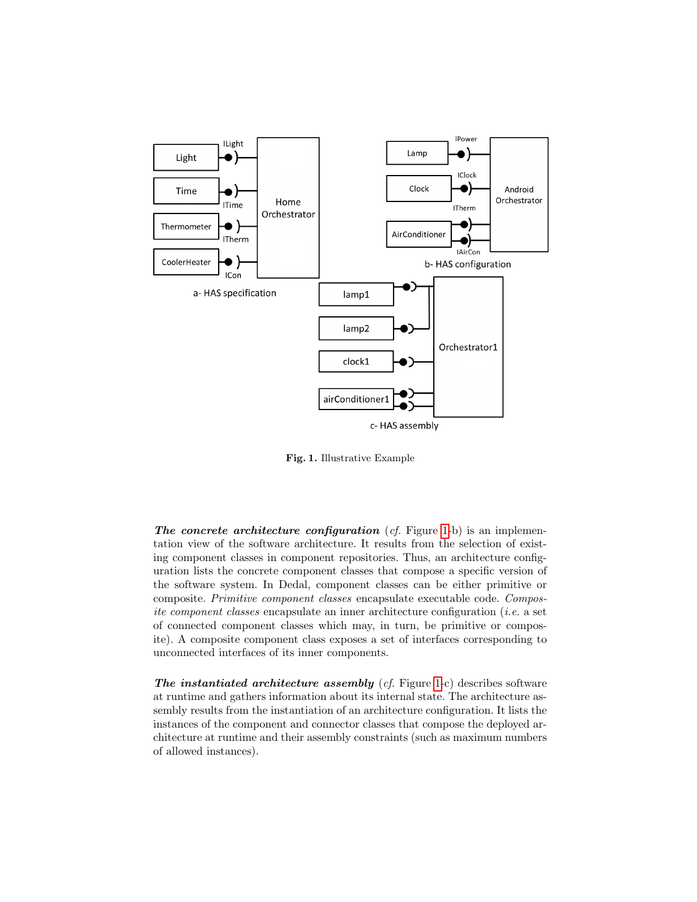

<span id="page-2-0"></span>Fig. 1. Illustrative Example

The concrete architecture configuration  $(cf.$  Figure [1-](#page-2-0)b) is an implementation view of the software architecture. It results from the selection of existing component classes in component repositories. Thus, an architecture configuration lists the concrete component classes that compose a specific version of the software system. In Dedal, component classes can be either primitive or composite. Primitive component classes encapsulate executable code. Composite component classes encapsulate an inner architecture configuration (i.e. a set of connected component classes which may, in turn, be primitive or composite). A composite component class exposes a set of interfaces corresponding to unconnected interfaces of its inner components.

The instantiated architecture assembly  $(cf.$  Figure [1-](#page-2-0)c) describes software at runtime and gathers information about its internal state. The architecture assembly results from the instantiation of an architecture configuration. It lists the instances of the component and connector classes that compose the deployed architecture at runtime and their assembly constraints (such as maximum numbers of allowed instances).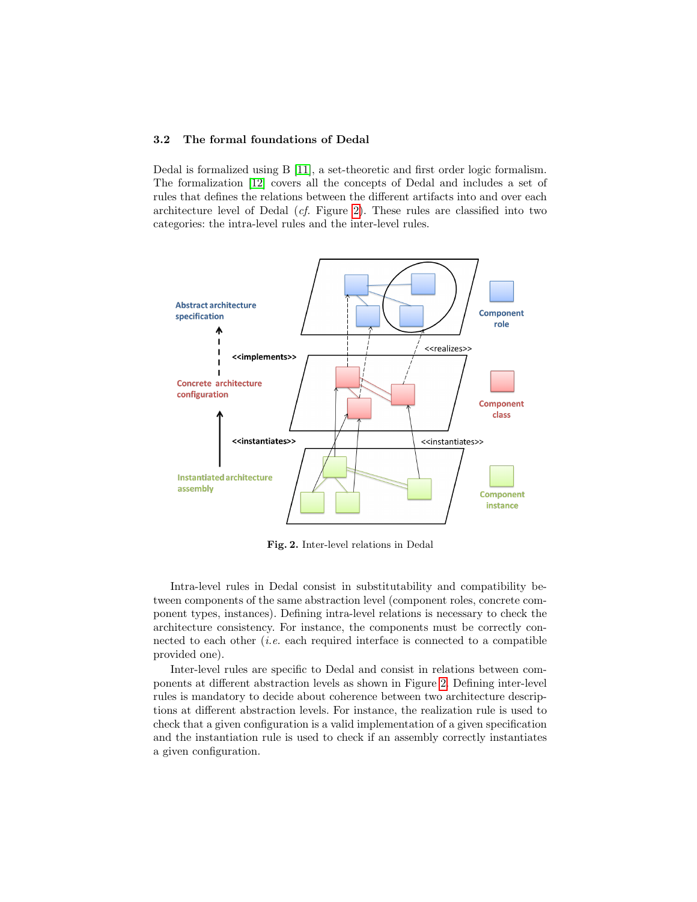#### 3.2 The formal foundations of Dedal

Dedal is formalized using B [\[11\]](#page-9-10), a set-theoretic and first order logic formalism. The formalization [\[12\]](#page-9-11) covers all the concepts of Dedal and includes a set of rules that defines the relations between the different artifacts into and over each architecture level of Dedal (cf. Figure [2\)](#page-3-0). These rules are classified into two categories: the intra-level rules and the inter-level rules.



<span id="page-3-0"></span>Fig. 2. Inter-level relations in Dedal

Intra-level rules in Dedal consist in substitutability and compatibility between components of the same abstraction level (component roles, concrete component types, instances). Defining intra-level relations is necessary to check the architecture consistency. For instance, the components must be correctly connected to each other  $(i.e.$  each required interface is connected to a compatible provided one).

Inter-level rules are specific to Dedal and consist in relations between components at different abstraction levels as shown in Figure [2.](#page-3-0) Defining inter-level rules is mandatory to decide about coherence between two architecture descriptions at different abstraction levels. For instance, the realization rule is used to check that a given configuration is a valid implementation of a given specification and the instantiation rule is used to check if an assembly correctly instantiates a given configuration.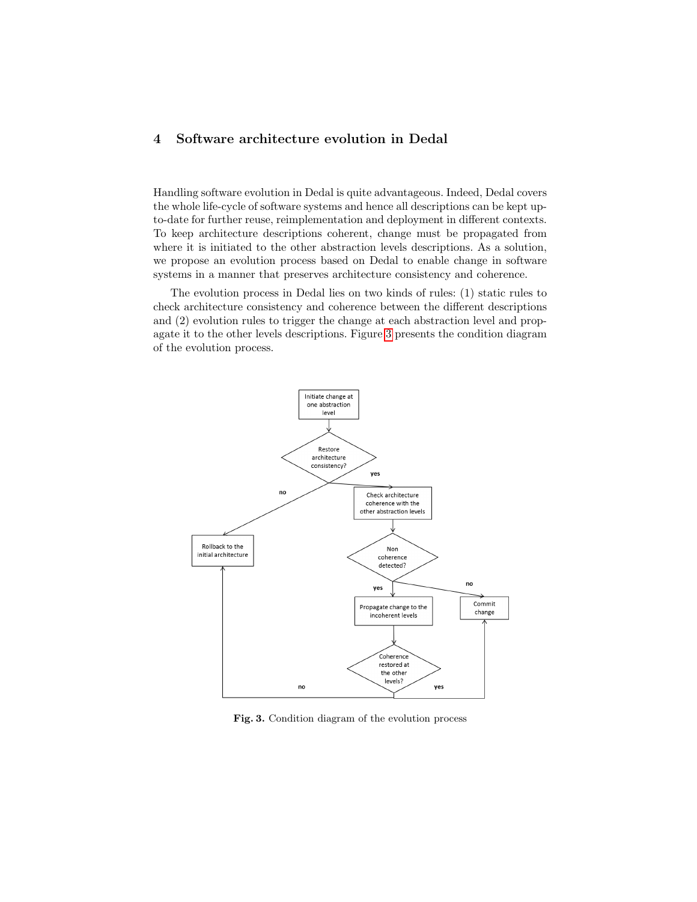# <span id="page-4-0"></span>4 Software architecture evolution in Dedal

Handling software evolution in Dedal is quite advantageous. Indeed, Dedal covers the whole life-cycle of software systems and hence all descriptions can be kept upto-date for further reuse, reimplementation and deployment in different contexts. To keep architecture descriptions coherent, change must be propagated from where it is initiated to the other abstraction levels descriptions. As a solution, we propose an evolution process based on Dedal to enable change in software systems in a manner that preserves architecture consistency and coherence.

The evolution process in Dedal lies on two kinds of rules: (1) static rules to check architecture consistency and coherence between the different descriptions and (2) evolution rules to trigger the change at each abstraction level and propagate it to the other levels descriptions. Figure [3](#page-4-1) presents the condition diagram of the evolution process.



<span id="page-4-1"></span>Fig. 3. Condition diagram of the evolution process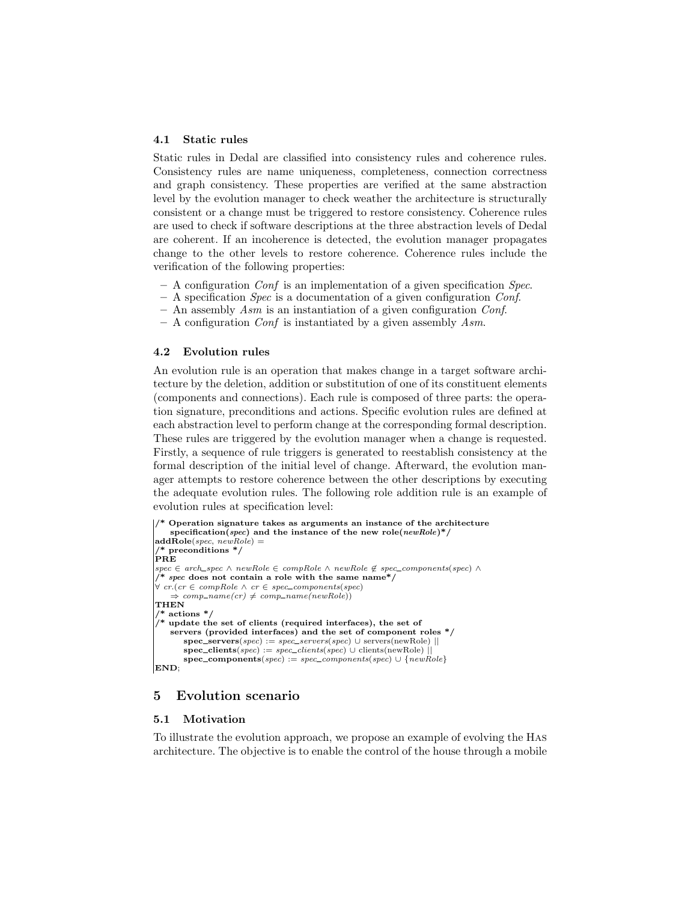#### 4.1 Static rules

Static rules in Dedal are classified into consistency rules and coherence rules. Consistency rules are name uniqueness, completeness, connection correctness and graph consistency. These properties are verified at the same abstraction level by the evolution manager to check weather the architecture is structurally consistent or a change must be triggered to restore consistency. Coherence rules are used to check if software descriptions at the three abstraction levels of Dedal are coherent. If an incoherence is detected, the evolution manager propagates change to the other levels to restore coherence. Coherence rules include the verification of the following properties:

- $-$  A configuration *Conf* is an implementation of a given specification *Spec.*
- $-$  A specification *Spec* is a documentation of a given configuration *Conf.*
- An assembly  $Asm$  is an instantiation of a given configuration Conf.
- $-$  A configuration *Conf* is instantiated by a given assembly *Asm*.

## 4.2 Evolution rules

An evolution rule is an operation that makes change in a target software architecture by the deletion, addition or substitution of one of its constituent elements (components and connections). Each rule is composed of three parts: the operation signature, preconditions and actions. Specific evolution rules are defined at each abstraction level to perform change at the corresponding formal description. These rules are triggered by the evolution manager when a change is requested. Firstly, a sequence of rule triggers is generated to reestablish consistency at the formal description of the initial level of change. Afterward, the evolution manager attempts to restore coherence between the other descriptions by executing the adequate evolution rules. The following role addition rule is an example of evolution rules at specification level:

```
Operation signature takes as arguments an instance of the architecture
    specification(spec) and the instance of the new role(newRole)*/addRole(spec, newRole) =/* preconditions */
\rvertPRE
spec ∈ arch_spec ∧ newRole ∈ compRole ∧ newRole ∉ spec_components(spec) ∧
   spec does not contain a role with the same name*/
\forall cr.(cr \in compRole \land cr \in spec_components(spec)
    \Rightarrow comp\_name(cr) \neq comp\_name(newRole))
THEN
  * actions *\frac{1}{x} update the set of clients (required interfaces), the set of
    servers (provided interfaces) and the set of component roles */
       spec\_servers(spec) := spec\_servers(spec) \cup servers(newRole)|
       \textbf{spec\_clients}(spec) := spec\_clients(spec) \cup \text{clients}(newRole)spec\_components(spec) := spec\_components(spec) \cup \{newRole\}END;
```
## <span id="page-5-0"></span>5 Evolution scenario

#### 5.1 Motivation

To illustrate the evolution approach, we propose an example of evolving the Has architecture. The objective is to enable the control of the house through a mobile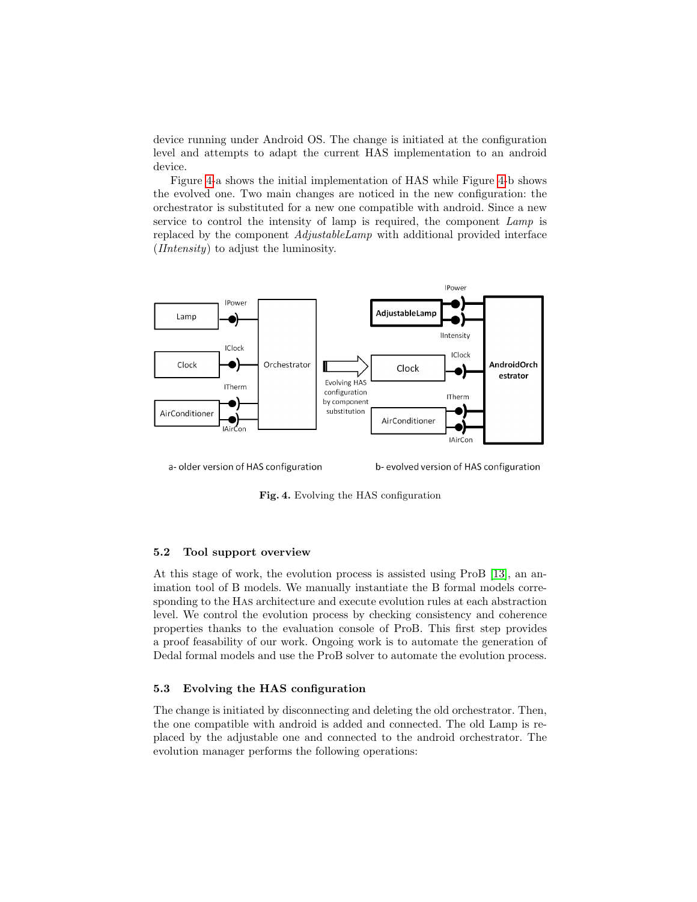device running under Android OS. The change is initiated at the configuration level and attempts to adapt the current HAS implementation to an android device.

Figure [4-](#page-6-0)a shows the initial implementation of HAS while Figure [4-](#page-6-0)b shows the evolved one. Two main changes are noticed in the new configuration: the orchestrator is substituted for a new one compatible with android. Since a new service to control the intensity of lamp is required, the component Lamp is replaced by the component *AdjustableLamp* with additional provided interface (IIntensity) to adjust the luminosity.



a-older version of HAS configuration

b-evolved version of HAS configuration

<span id="page-6-0"></span>Fig. 4. Evolving the HAS configuration

#### 5.2 Tool support overview

At this stage of work, the evolution process is assisted using ProB [\[13\]](#page-9-12), an animation tool of B models. We manually instantiate the B formal models corresponding to the Has architecture and execute evolution rules at each abstraction level. We control the evolution process by checking consistency and coherence properties thanks to the evaluation console of ProB. This first step provides a proof feasability of our work. Ongoing work is to automate the generation of Dedal formal models and use the ProB solver to automate the evolution process.

## 5.3 Evolving the HAS configuration

The change is initiated by disconnecting and deleting the old orchestrator. Then, the one compatible with android is added and connected. The old Lamp is replaced by the adjustable one and connected to the android orchestrator. The evolution manager performs the following operations: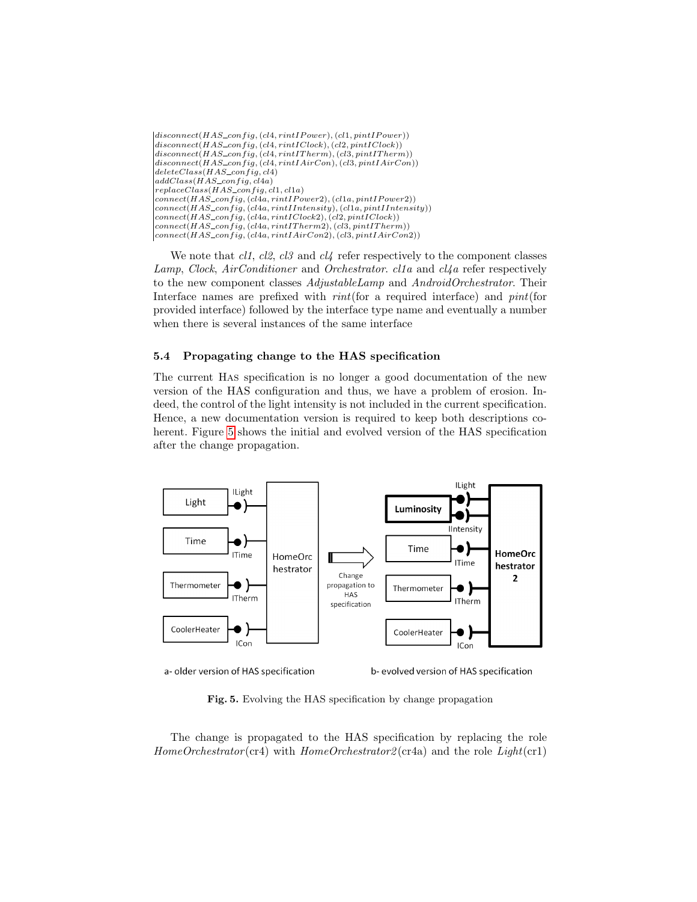| $disconnect(HAS\_config, (cl4, rintIPower), (cl1, pintIPower))$           |
|---------------------------------------------------------------------------|
| $disconnect(HAS\_config, (cl4, rintIClock), (cl2, pintIClock))$           |
| $disconnect(HAS\_config, (cl4, rintITherm), (cl3, pintITherm))$           |
| $disconnect(HAS\_config, (cl4, rintIAirCon), (cl3, pintIAirCon))$         |
| $deleteClass(HAS\_confiq, cl4)$                                           |
| $addClass(HAS\_config, cl4a)$                                             |
| $replaceClass(HAS\_config, cl1, cl1a)$                                    |
| $connect(HAS_{confiq}, (c14a, rintIPower2), (c11a, pintIPower2))$         |
| $connect(HAS\_config, (cl4a, rint1Intensity), (cl1a, pint1Intensity))$    |
| $\mathcal{L}$ connect(HAS_config, (cl4a, rintIClock2), (cl2, pintIClock)) |
| $ connect(HAS\_config, (cl4a, rint1Therm2), (cl3, pint1Therm)) $          |
| $connect(HAS\_config, (cl4a, rintIAirCon2), (cl3, pintIAirCon2))$         |

We note that  $cl1$ ,  $cl2$ ,  $cl3$  and  $cl4$  refer respectively to the component classes Lamp, Clock, AirConditioner and Orchestrator. cl1a and cl4a refer respectively to the new component classes AdjustableLamp and AndroidOrchestrator. Their Interface names are prefixed with *rint*(for a required interface) and *pint*(for provided interface) followed by the interface type name and eventually a number when there is several instances of the same interface

## 5.4 Propagating change to the HAS specification

The current Has specification is no longer a good documentation of the new version of the HAS configuration and thus, we have a problem of erosion. Indeed, the control of the light intensity is not included in the current specification. Hence, a new documentation version is required to keep both descriptions coherent. Figure [5](#page-7-0) shows the initial and evolved version of the HAS specification after the change propagation.



a-older version of HAS specification

b-evolved version of HAS specification

<span id="page-7-0"></span>Fig. 5. Evolving the HAS specification by change propagation

The change is propagated to the HAS specification by replacing the role  $HomeOrchestrator$  (cr4) with  $HomeOrchestrator2$  (cr4a) and the role  $Light$  (cr1)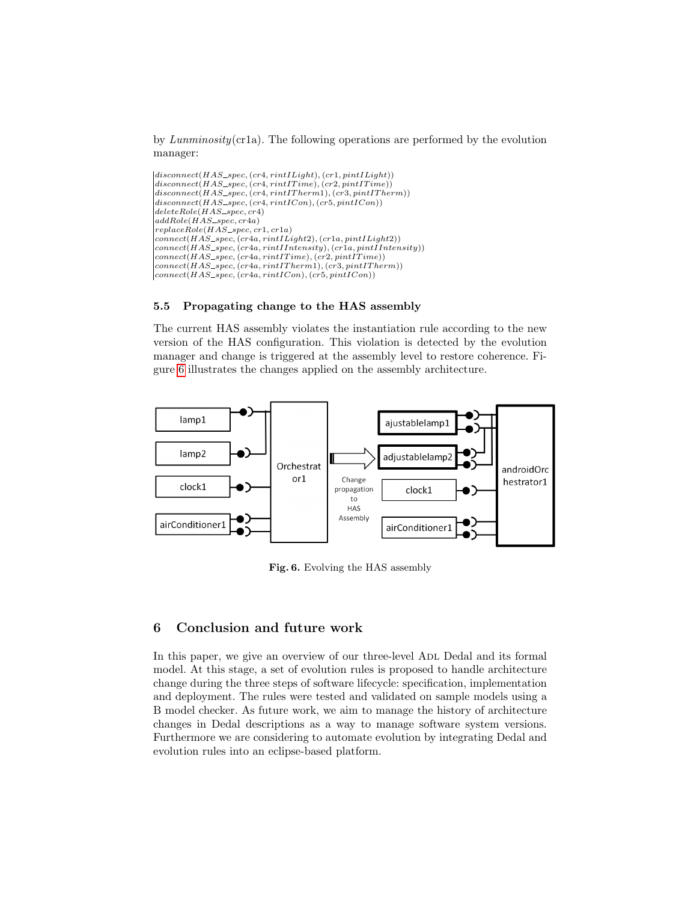by Lunminosity(cr1a). The following operations are performed by the evolution manager:

```
(disconnect(HAS\_spec, (cr4, rint1Light), (cr1, pint1Light))\left|disconnect(HAS\_spec, (cr4, rintITime), (cr2, pintITime))\right|disconnect(HAS\_spec, (cr4, rintITherm1), (cr3, pintITherm))\overbrace{disconnect(HAS\_spec, (cr4,rintICon), (cr5, pintICon))}deleteRole(HAS\_spec, cr4)addRole(HAS\_spec, cr4a)replaceRole(HAS\_spec, cr1, cr1a)connect(HAS\_spec, (cr4a, rintILight2), (cr1a, pintILight2))connect(HAS\_spec, (cr4a, rint I Intensity), (cr1a, pint I Intensity))connect(HAS\_spec, (cr4a, rintITime), (cr2, pintITime))connect(HAS\_spec, (cr4a, rintITherm1), (cr3, pintITherm))connect(HAS\_spec, (cr4a, rintICon), (cr5, pintICon))
```
## 5.5 Propagating change to the HAS assembly

The current HAS assembly violates the instantiation rule according to the new version of the HAS configuration. This violation is detected by the evolution manager and change is triggered at the assembly level to restore coherence. Figure [6](#page-8-1) illustrates the changes applied on the assembly architecture.



<span id="page-8-1"></span>Fig. 6. Evolving the HAS assembly

# <span id="page-8-0"></span>6 Conclusion and future work

In this paper, we give an overview of our three-level ADL Dedal and its formal model. At this stage, a set of evolution rules is proposed to handle architecture change during the three steps of software lifecycle: specification, implementation and deployment. The rules were tested and validated on sample models using a B model checker. As future work, we aim to manage the history of architecture changes in Dedal descriptions as a way to manage software system versions. Furthermore we are considering to automate evolution by integrating Dedal and evolution rules into an eclipse-based platform.